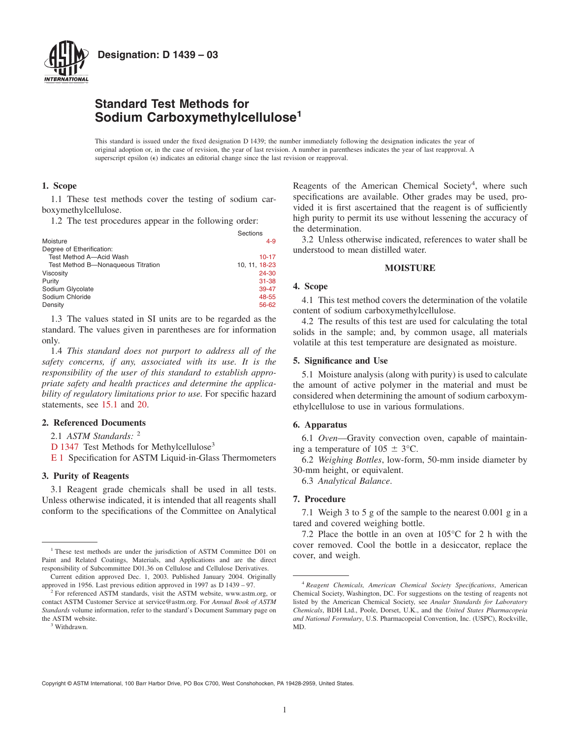

**Designation: D 1439 – 03**

# **Standard Test Methods for Sodium Carboxymethylcellulose<sup>1</sup>**

This standard is issued under the fixed designation D 1439; the number immediately following the designation indicates the year of original adoption or, in the case of revision, the year of last revision. A number in parentheses indicates the year of last reapproval. A superscript epsilon  $(\epsilon)$  indicates an editorial change since the last revision or reapproval.

### **1. Scope**

1.1 These test methods cover the testing of sodium carboxymethylcellulose.

1.2 The test procedures appear in the following order:

|                                    | Sections      |
|------------------------------------|---------------|
| Moisture                           | $4 - 9$       |
| Degree of Etherification:          |               |
| Test Method A-Acid Wash            | 10-17         |
| Test Method B-Nonaqueous Titration | 10, 11, 18-23 |
| Viscosity                          | 24-30         |
| Purity                             | $31 - 38$     |
| Sodium Glycolate                   | 39-47         |
| Sodium Chloride                    | 48-55         |
| Density                            | 56-62         |

1.3 The values stated in SI units are to be regarded as the standard. The values given in parentheses are for information only.

1.4 *This standard does not purport to address all of the safety concerns, if any, associated with its use. It is the responsibility of the user of this standard to establish appropriate safety and health practices and determine the applicability of regulatory limitations prior to use.* For specific hazard statements, see [15.1](#page-1-1) and [20.](#page-2-1)

### **2. Referenced Documents**

2.1 *ASTM Standards:* <sup>2</sup>

[D 1347](#page-1-2) Test Methods for Methylcellulose<sup>3</sup>

[E 1](#page-3-1) Specification for ASTM Liquid-in-Glass Thermometers

### **3. Purity of Reagents**

3.1 Reagent grade chemicals shall be used in all tests. Unless otherwise indicated, it is intended that all reagents shall conform to the specifications of the Committee on Analytical

Reagents of the American Chemical Society<sup>4</sup>, where such specifications are available. Other grades may be used, provided it is first ascertained that the reagent is of sufficiently high purity to permit its use without lessening the accuracy of the determination.

3.2 Unless otherwise indicated, references to water shall be understood to mean distilled water.

#### <span id="page-0-2"></span><span id="page-0-1"></span>**MOISTURE**

### <span id="page-0-0"></span>**4. Scope**

4.1 This test method covers the determination of the volatile content of sodium carboxymethylcellulose.

4.2 The results of this test are used for calculating the total solids in the sample; and, by common usage, all materials volatile at this test temperature are designated as moisture.

#### **5. Significance and Use**

5.1 Moisture analysis (along with purity) is used to calculate the amount of active polymer in the material and must be considered when determining the amount of sodium carboxymethylcellulose to use in various formulations.

#### **6. Apparatus**

6.1 *Oven*—Gravity convection oven, capable of maintaining a temperature of  $105 \pm 3$ °C.

6.2 *Weighing Bottles*, low-form, 50-mm inside diameter by 30-mm height, or equivalent.

6.3 *Analytical Balance*.

### **7. Procedure**

7.1 Weigh 3 to 5 g of the sample to the nearest 0.001 g in a tared and covered weighing bottle.

7.2 Place the bottle in an oven at 105°C for 2 h with the cover removed. Cool the bottle in a desiccator, replace the

Copyright © ASTM International, 100 Barr Harbor Drive, PO Box C700, West Conshohocken, PA 19428-2959, United States.

<sup>&</sup>lt;sup>1</sup>These test methods are under the jurisdiction of ASTM Committee D01 on cover, and weigh. Paint and Related Coatings, Materials, and Applications and are the direct responsibility of Subcommittee D01.36 on Cellulose and Cellulose Derivatives.

Current edition approved Dec. 1, 2003. Published January 2004. Originally approved in 1956. Last previous edition approved in 1997 as D 1439 – 97.

<sup>&</sup>lt;sup>2</sup> For referenced ASTM standards, visit the ASTM website, www.astm.org, or contact ASTM Customer Service at service@astm.org. For *Annual Book of ASTM Standards* volume information, refer to the standard's Document Summary page on the ASTM website.

<sup>&</sup>lt;sup>3</sup> Withdrawn

<sup>4</sup> *Reagent Chemicals, American Chemical Society Specifications*, American Chemical Society, Washington, DC. For suggestions on the testing of reagents not listed by the American Chemical Society, see *Analar Standards for Laboratory Chemicals*, BDH Ltd., Poole, Dorset, U.K., and the *United States Pharmacopeia and National Formulary*, U.S. Pharmacopeial Convention, Inc. (USPC), Rockville, MD.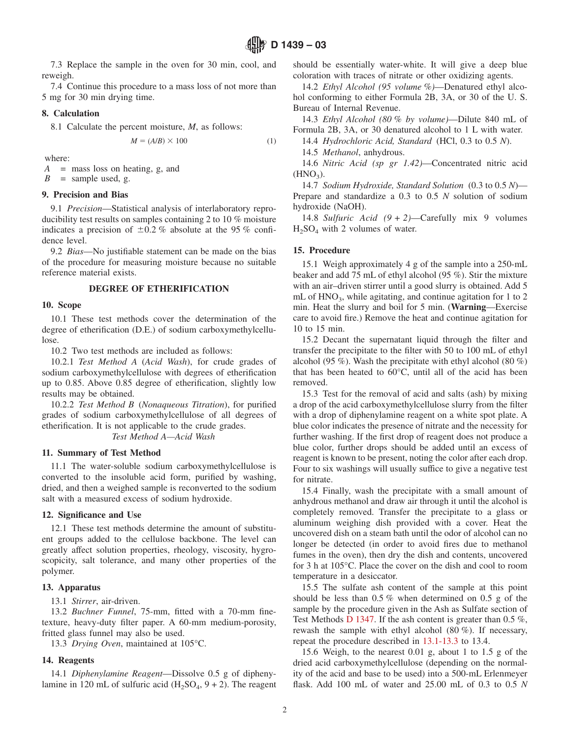7.3 Replace the sample in the oven for 30 min, cool, and reweigh.

7.4 Continue this procedure to a mass loss of not more than 5 mg for 30 min drying time.

### **8. Calculation**

8.1 Calculate the percent moisture, *M*, as follows:

$$
M = (A/B) \times 100 \tag{1}
$$

where:

*A* = mass loss on heating, g, and

 $B =$  sample used, g.

### **9. Precision and Bias**

9.1 *Precision*—Statistical analysis of interlaboratory reproducibility test results on samples containing 2 to 10 % moisture indicates a precision of  $\pm 0.2$  % absolute at the 95 % confidence level.

9.2 *Bias*—No justifiable statement can be made on the bias of the procedure for measuring moisture because no suitable reference material exists.

# **DEGREE OF ETHERIFICATION**

#### **10. Scope**

10.1 These test methods cover the determination of the degree of etherification (D.E.) of sodium carboxymethylcellulose.

10.2 Two test methods are included as follows:

10.2.1 *Test Method A* (*Acid Wash*), for crude grades of sodium carboxymethylcellulose with degrees of etherification up to 0.85. Above 0.85 degree of etherification, slightly low results may be obtained.

10.2.2 *Test Method B* (*Nonaqueous Titration*), for purified grades of sodium carboxymethylcellulose of all degrees of etherification. It is not applicable to the crude grades.

*Test Method A—Acid Wash*

### **11. Summary of Test Method**

11.1 The water-soluble sodium carboxymethylcellulose is converted to the insoluble acid form, purified by washing, dried, and then a weighed sample is reconverted to the sodium salt with a measured excess of sodium hydroxide.

### **12. Significance and Use**

12.1 These test methods determine the amount of substituent groups added to the cellulose backbone. The level can greatly affect solution properties, rheology, viscosity, hygroscopicity, salt tolerance, and many other properties of the polymer.

### **13. Apparatus**

13.1 *Stirrer*, air-driven.

13.2 *Buchner Funnel*, 75-mm, fitted with a 70-mm finetexture, heavy-duty filter paper. A 60-mm medium-porosity, fritted glass funnel may also be used.

13.3 *Drying Oven*, maintained at 105°C.

### **14. Reagents**

14.1 *Diphenylamine Reagent*—Dissolve 0.5 g of diphenylamine in 120 mL of sulfuric acid  $(H_2SO_4, 9 + 2)$ . The reagent should be essentially water-white. It will give a deep blue coloration with traces of nitrate or other oxidizing agents.

14.2 *Ethyl Alcohol (95 volume %)*—Denatured ethyl alcohol conforming to either Formula 2B, 3A, or 30 of the U. S. Bureau of Internal Revenue.

14.3 *Ethyl Alcohol (80 % by volume)*—Dilute 840 mL of Formula 2B, 3A, or 30 denatured alcohol to 1 L with water.

14.4 *Hydrochloric Acid, Standard* (HCl, 0.3 to 0.5 *N*).

14.5 *Methanol*, anhydrous.

14.6 *Nitric Acid (sp gr 1.42)*—Concentrated nitric acid  $(HNO<sub>3</sub>)$ .

14.7 *Sodium Hydroxide, Standard Solution* (0.3 to 0.5 *N*)— Prepare and standardize a 0.3 to 0.5 *N* solution of sodium hydroxide (NaOH).

14.8 *Sulfuric Acid (9 + 2)*—Carefully mix 9 volumes  $H_2SO_4$  with 2 volumes of water.

### <span id="page-1-1"></span>**15. Procedure**

<span id="page-1-0"></span>15.1 Weigh approximately 4 g of the sample into a 250-mL beaker and add 75 mL of ethyl alcohol (95 %). Stir the mixture with an air–driven stirrer until a good slurry is obtained. Add 5 mL of  $HNO<sub>3</sub>$ , while agitating, and continue agitation for 1 to 2 min. Heat the slurry and boil for 5 min. (**Warning**—Exercise care to avoid fire.) Remove the heat and continue agitation for 10 to 15 min.

15.2 Decant the supernatant liquid through the filter and transfer the precipitate to the filter with 50 to 100 mL of ethyl alcohol (95 %). Wash the precipitate with ethyl alcohol (80 %) that has been heated to 60°C, until all of the acid has been removed.

15.3 Test for the removal of acid and salts (ash) by mixing a drop of the acid carboxymethylcellulose slurry from the filter with a drop of diphenylamine reagent on a white spot plate. A blue color indicates the presence of nitrate and the necessity for further washing. If the first drop of reagent does not produce a blue color, further drops should be added until an excess of reagent is known to be present, noting the color after each drop. Four to six washings will usually suffice to give a negative test for nitrate.

15.4 Finally, wash the precipitate with a small amount of anhydrous methanol and draw air through it until the alcohol is completely removed. Transfer the precipitate to a glass or aluminum weighing dish provided with a cover. Heat the uncovered dish on a steam bath until the odor of alcohol can no longer be detected (in order to avoid fires due to methanol fumes in the oven), then dry the dish and contents, uncovered for 3 h at 105°C. Place the cover on the dish and cool to room temperature in a desiccator.

<span id="page-1-3"></span><span id="page-1-2"></span>15.5 The sulfate ash content of the sample at this point should be less than 0.5 % when determined on 0.5 g of the sample by the procedure given in the Ash as Sulfate section of Test Methods  $D$  1347. If the ash content is greater than 0.5 %, rewash the sample with ethyl alcohol (80 %). If necessary, repeat the procedure described in [13.1-13.3](#page-1-3) to 13.4.

15.6 Weigh, to the nearest 0.01 g, about 1 to 1.5 g of the dried acid carboxymethylcellulose (depending on the normality of the acid and base to be used) into a 500-mL Erlenmeyer flask. Add 100 mL of water and 25.00 mL of 0.3 to 0.5 *N*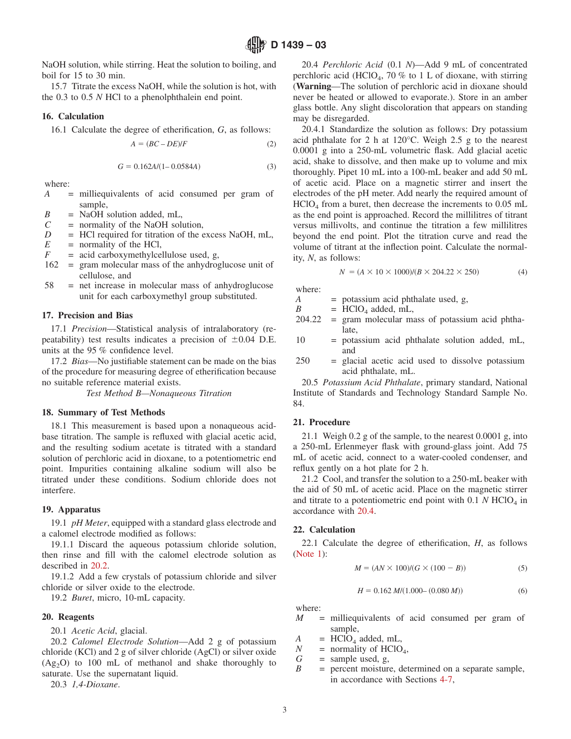NaOH solution, while stirring. Heat the solution to boiling, and boil for 15 to 30 min.

15.7 Titrate the excess NaOH, while the solution is hot, with the 0.3 to 0.5 *N* HCl to a phenolphthalein end point.

### **16. Calculation**

16.1 Calculate the degree of etherification, *G*, as follows:

$$
A = (BC - DE)/F \tag{2}
$$

$$
G = 0.162A/(1 - 0.0584A)
$$
 (3)

where:

- *A* = milliequivalents of acid consumed per gram of sample,
- $B =$ NaOH solution added, mL,<br> $C =$  normality of the NaOH solu
- = normality of the NaOH solution,
- *D* = HCl required for titration of the excess NaOH, mL,
- $E$  = normality of the HCl,<br> $F$  = acid carboxymethylce
- $=$  acid carboxymethylcellulose used, g,
- 162 = gram molecular mass of the anhydroglucose unit of cellulose, and
- 58 = net increase in molecular mass of anhydroglucose unit for each carboxymethyl group substituted.

#### **17. Precision and Bias**

17.1 *Precision*—Statistical analysis of intralaboratory (repeatability) test results indicates a precision of  $\pm 0.04$  D.E. units at the 95 % confidence level.

17.2 *Bias*—No justifiable statement can be made on the bias of the procedure for measuring degree of etherification because no suitable reference material exists.

*Test Method B—Nonaqueous Titration*

#### **18. Summary of Test Methods**

18.1 This measurement is based upon a nonaqueous acidbase titration. The sample is refluxed with glacial acetic acid, and the resulting sodium acetate is titrated with a standard solution of perchloric acid in dioxane, to a potentiometric end point. Impurities containing alkaline sodium will also be titrated under these conditions. Sodium chloride does not interfere.

#### **19. Apparatus**

19.1 *pH Meter*, equipped with a standard glass electrode and a calomel electrode modified as follows:

19.1.1 Discard the aqueous potassium chloride solution, then rinse and fill with the calomel electrode solution as described in [20.2.](#page-2-2)

19.1.2 Add a few crystals of potassium chloride and silver chloride or silver oxide to the electrode.

19.2 *Buret*, micro, 10-mL capacity.

### **20. Reagents**

20.1 *Acetic Acid*, glacial.

20.2 *Calomel Electrode Solution*—Add 2 g of potassium chloride (KCl) and 2 g of silver chloride (AgCl) or silver oxide  $(Ag<sub>2</sub>O)$  to 100 mL of methanol and shake thoroughly to saturate. Use the supernatant liquid.

20.3 *1,4-Dioxane*.

<span id="page-2-3"></span>20.4 *Perchloric Acid* (0.1 *N*)—Add 9 mL of concentrated perchloric acid (HClO<sub>4</sub>, 70 % to 1 L of dioxane, with stirring (**Warning**—The solution of perchloric acid in dioxane should never be heated or allowed to evaporate.). Store in an amber glass bottle. Any slight discoloration that appears on standing may be disregarded.

20.4.1 Standardize the solution as follows: Dry potassium acid phthalate for 2 h at 120°C. Weigh 2.5 g to the nearest 0.0001 g into a 250-mL volumetric flask. Add glacial acetic acid, shake to dissolve, and then make up to volume and mix thoroughly. Pipet 10 mL into a 100-mL beaker and add 50 mL of acetic acid. Place on a magnetic stirrer and insert the electrodes of the pH meter. Add nearly the required amount of  $HClO<sub>4</sub>$  from a buret, then decrease the increments to 0.05 mL as the end point is approached. Record the millilitres of titrant versus millivolts, and continue the titration a few millilitres beyond the end point. Plot the titration curve and read the volume of titrant at the inflection point. Calculate the normality, *N*, as follows:

<span id="page-2-0"></span>
$$
N = (A \times 10 \times 1000)/(B \times 204.22 \times 250)
$$
 (4)

where:

*A* = potassium acid phthalate used, g,

- $B = \text{HClO}_4$  added, mL,<br>204.22 = gram molecular ma
- $=$  gram molecular mass of potassium acid phthalate,
- 10 = potassium acid phthalate solution added, mL, and
- 250 = glacial acetic acid used to dissolve potassium acid phthalate, mL.

20.5 *Potassium Acid Phthalate*, primary standard, National Institute of Standards and Technology Standard Sample No. 84.

# **21. Procedure**

21.1 Weigh 0.2 g of the sample, to the nearest 0.0001 g, into a 250-mL Erlenmeyer flask with ground-glass joint. Add 75 mL of acetic acid, connect to a water-cooled condenser, and reflux gently on a hot plate for 2 h.

21.2 Cool, and transfer the solution to a 250-mL beaker with the aid of 50 mL of acetic acid. Place on the magnetic stirrer and titrate to a potentiometric end point with  $0.1 N$  HClO<sub>4</sub> in accordance with [20.4.](#page-2-3)

### **22. Calculation**

22.1 Calculate the degree of etherification, *H*, as follows [\(Note 1\)](#page-3-2):

$$
M = (AN \times 100)/(G \times (100 - B))
$$
 (5)

<span id="page-2-2"></span><span id="page-2-1"></span>
$$
H = 0.162 M/(1.000 - (0.080 M))
$$
 (6)

where:

*M* = milliequivalents of acid consumed per gram of sample,

$$
A = \text{HClO}_4 \text{ added, mL},
$$

- $N =$  normality of HClO<sub>4</sub>,
- $G =$  sample used, g,
- *B* = percent moisture, determined on a separate sample, in accordance with Sections [4-7,](#page-0-0)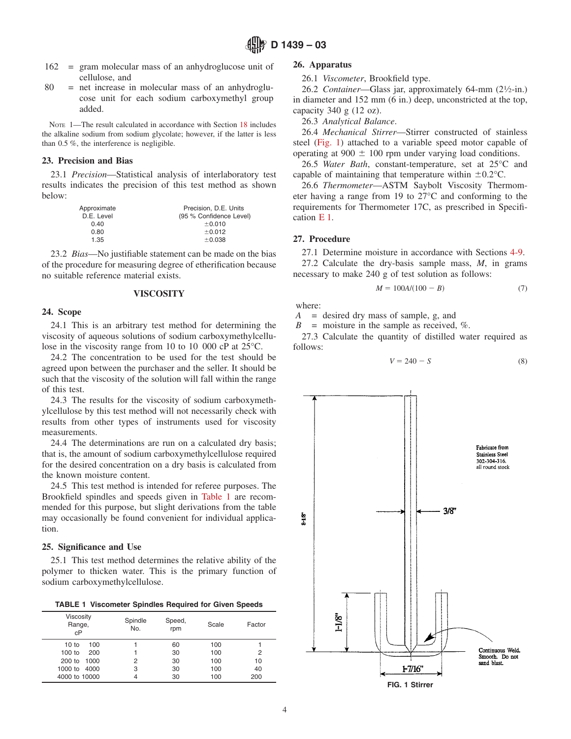- 162 = gram molecular mass of an anhydroglucose unit of cellulose, and
- 80 = net increase in molecular mass of an anhydroglucose unit for each sodium carboxymethyl group added.

NOTE 1—The result calculated in accordance with Section [18](#page-2-0) includes the alkaline sodium from sodium glycolate; however, if the latter is less than 0.5 %, the interference is negligible.

### **23. Precision and Bias**

23.1 *Precision*—Statistical analysis of interlaboratory test results indicates the precision of this test method as shown below:

| Approximate | Precision, D.E. Units   |
|-------------|-------------------------|
| D.E. Level  | (95 % Confidence Level) |
| 0.40        | ±0.010                  |
| 0.80        | ±0.012                  |
| 1.35        | ±0.038                  |

23.2 *Bias*—No justifiable statement can be made on the bias of the procedure for measuring degree of etherification because no suitable reference material exists.

# **VISCOSITY**

### **24. Scope**

24.1 This is an arbitrary test method for determining the viscosity of aqueous solutions of sodium carboxymethylcellulose in the viscosity range from 10 to 10 000 cP at 25°C.

24.2 The concentration to be used for the test should be agreed upon between the purchaser and the seller. It should be such that the viscosity of the solution will fall within the range of this test.

24.3 The results for the viscosity of sodium carboxymethylcellulose by this test method will not necessarily check with results from other types of instruments used for viscosity measurements.

24.4 The determinations are run on a calculated dry basis; that is, the amount of sodium carboxymethylcellulose required for the desired concentration on a dry basis is calculated from the known moisture content.

24.5 This test method is intended for referee purposes. The Brookfield spindles and speeds given in [Table 1](#page-3-3) are recommended for this purpose, but slight derivations from the table may occasionally be found convenient for individual application.

### **25. Significance and Use**

25.1 This test method determines the relative ability of the polymer to thicken water. This is the primary function of sodium carboxymethylcellulose.

**TABLE 1 Viscometer Spindles Required for Given Speeds**

| Viscosity<br>Range,<br>cP | Spindle<br>No. | Speed,<br>rpm | Scale | Factor |
|---------------------------|----------------|---------------|-------|--------|
| 10 to<br>100              |                | 60            | 100   |        |
| 200<br>100 to             |                | 30            | 100   | 2      |
| 200 to 1000               | 2              | 30            | 100   | 10     |
| 1000 to<br>4000           | 3              | 30            | 100   | 40     |
| 4000 to 10000             | 4              | 30            | 100   | 200    |

### **26. Apparatus**

26.1 *Viscometer*, Brookfield type.

26.2 *Container*—Glass jar, approximately 64-mm (21⁄2-in.) in diameter and 152 mm (6 in.) deep, unconstricted at the top, capacity  $340 \text{ g}$  (12 oz).

<span id="page-3-2"></span>26.3 *Analytical Balance*.

26.4 *Mechanical Stirrer*—Stirrer constructed of stainless steel [\(Fig. 1\)](#page-3-4) attached to a variable speed motor capable of operating at 900  $\pm$  100 rpm under varying load conditions.

26.5 *Water Bath*, constant-temperature, set at 25°C and capable of maintaining that temperature within  $\pm 0.2$ °C.

26.6 *Thermometer*—ASTM Saybolt Viscosity Thermometer having a range from 19 to 27°C and conforming to the requirements for Thermometer 17C, as prescribed in Specification [E 1.](#page-0-2)

### <span id="page-3-1"></span>**27. Procedure**

27.1 Determine moisture in accordance with Sections [4-9.](#page-0-0)

27.2 Calculate the dry-basis sample mass, *M*, in grams necessary to make 240 g of test solution as follows:

$$
M = 100A/(100 - B)
$$
 (7)

where:

*A* = desired dry mass of sample, g, and

 $B =$  moisture in the sample as received, %.

27.3 Calculate the quantity of distilled water required as follows:

<span id="page-3-3"></span><span id="page-3-0"></span>
$$
V = 240 - S \tag{8}
$$

<span id="page-3-4"></span>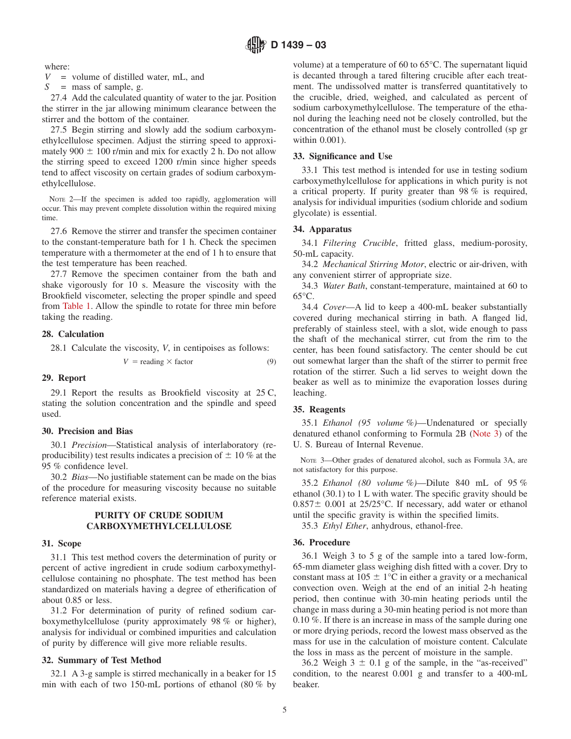where:

 $V =$  volume of distilled water, mL, and

*S* = mass of sample, g.

27.4 Add the calculated quantity of water to the jar. Position the stirrer in the jar allowing minimum clearance between the stirrer and the bottom of the container.

27.5 Begin stirring and slowly add the sodium carboxymethylcellulose specimen. Adjust the stirring speed to approximately 900  $\pm$  100 r/min and mix for exactly 2 h. Do not allow the stirring speed to exceed 1200 r/min since higher speeds tend to affect viscosity on certain grades of sodium carboxymethylcellulose.

NOTE 2—If the specimen is added too rapidly, agglomeration will occur. This may prevent complete dissolution within the required mixing time.

27.6 Remove the stirrer and transfer the specimen container to the constant-temperature bath for 1 h. Check the specimen temperature with a thermometer at the end of 1 h to ensure that the test temperature has been reached.

27.7 Remove the specimen container from the bath and shake vigorously for 10 s. Measure the viscosity with the Brookfield viscometer, selecting the proper spindle and speed from [Table 1.](#page-3-3) Allow the spindle to rotate for three min before taking the reading.

### **28. Calculation**

28.1 Calculate the viscosity, *V*, in centipoises as follows:

$$
V = \text{reading} \times \text{factor} \tag{9}
$$

### **29. Report**

29.1 Report the results as Brookfield viscosity at 25 C, stating the solution concentration and the spindle and speed used.

### **30. Precision and Bias**

30.1 *Precision*—Statistical analysis of interlaboratory (reproducibility) test results indicates a precision of  $\pm$  10 % at the 95 % confidence level.

30.2 *Bias*—No justifiable statement can be made on the bias of the procedure for measuring viscosity because no suitable reference material exists.

# **PURITY OF CRUDE SODIUM CARBOXYMETHYLCELLULOSE**

### **31. Scope**

31.1 This test method covers the determination of purity or percent of active ingredient in crude sodium carboxymethylcellulose containing no phosphate. The test method has been standardized on materials having a degree of etherification of about 0.85 or less.

31.2 For determination of purity of refined sodium carboxymethylcellulose (purity approximately 98 % or higher), analysis for individual or combined impurities and calculation of purity by difference will give more reliable results.

### **32. Summary of Test Method**

32.1 A 3-g sample is stirred mechanically in a beaker for 15 min with each of two 150-mL portions of ethanol (80 % by

volume) at a temperature of 60 to 65°C. The supernatant liquid is decanted through a tared filtering crucible after each treatment. The undissolved matter is transferred quantitatively to the crucible, dried, weighed, and calculated as percent of sodium carboxymethylcellulose. The temperature of the ethanol during the leaching need not be closely controlled, but the concentration of the ethanol must be closely controlled (sp gr within 0.001).

### **33. Significance and Use**

33.1 This test method is intended for use in testing sodium carboxymethylcellulose for applications in which purity is not a critical property. If purity greater than 98 % is required, analysis for individual impurities (sodium chloride and sodium glycolate) is essential.

### **34. Apparatus**

34.1 *Filtering Crucible*, fritted glass, medium-porosity, 50-mL capacity.

34.2 *Mechanical Stirring Motor*, electric or air-driven, with any convenient stirrer of appropriate size.

34.3 *Water Bath*, constant-temperature, maintained at 60 to  $65^{\circ}$ C.

34.4 *Cover*—A lid to keep a 400-mL beaker substantially covered during mechanical stirring in bath. A flanged lid, preferably of stainless steel, with a slot, wide enough to pass the shaft of the mechanical stirrer, cut from the rim to the center, has been found satisfactory. The center should be cut out somewhat larger than the shaft of the stirrer to permit free rotation of the stirrer. Such a lid serves to weight down the beaker as well as to minimize the evaporation losses during leaching.

### **35. Reagents**

35.1 *Ethanol (95 volume %)*—Undenatured or specially denatured ethanol conforming to Formula 2B [\(Note 3\)](#page-4-1) of the U. S. Bureau of Internal Revenue.

<span id="page-4-1"></span>NOTE 3—Other grades of denatured alcohol, such as Formula 3A, are not satisfactory for this purpose.

35.2 *Ethanol (80 volume %)*—Dilute 840 mL of 95 % ethanol (30.1) to 1 L with water. The specific gravity should be  $0.857\pm 0.001$  at 25/25 °C. If necessary, add water or ethanol until the specific gravity is within the specified limits.

<span id="page-4-0"></span>35.3 *Ethyl Ether*, anhydrous, ethanol-free.

### **36. Procedure**

36.1 Weigh 3 to 5 g of the sample into a tared low-form, 65-mm diameter glass weighing dish fitted with a cover. Dry to constant mass at  $105 \pm 1$ °C in either a gravity or a mechanical convection oven. Weigh at the end of an initial 2-h heating period, then continue with 30-min heating periods until the change in mass during a 30-min heating period is not more than 0.10 %. If there is an increase in mass of the sample during one or more drying periods, record the lowest mass observed as the mass for use in the calculation of moisture content. Calculate the loss in mass as the percent of moisture in the sample.

36.2 Weigh  $3 \pm 0.1$  g of the sample, in the "as-received" condition, to the nearest 0.001 g and transfer to a 400-mL beaker.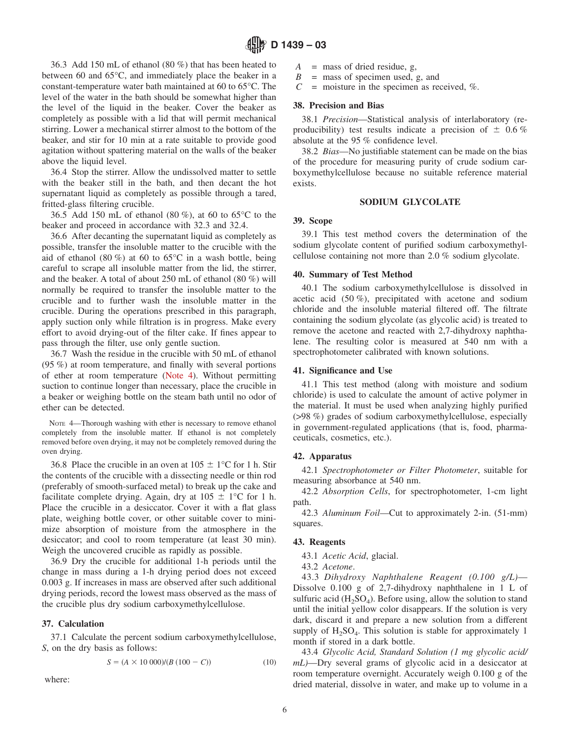36.3 Add 150 mL of ethanol (80 %) that has been heated to between 60 and 65°C, and immediately place the beaker in a constant-temperature water bath maintained at 60 to 65°C. The level of the water in the bath should be somewhat higher than the level of the liquid in the beaker. Cover the beaker as completely as possible with a lid that will permit mechanical stirring. Lower a mechanical stirrer almost to the bottom of the beaker, and stir for 10 min at a rate suitable to provide good agitation without spattering material on the walls of the beaker above the liquid level.

36.4 Stop the stirrer. Allow the undissolved matter to settle with the beaker still in the bath, and then decant the hot supernatant liquid as completely as possible through a tared, fritted-glass filtering crucible.

36.5 Add 150 mL of ethanol (80 %), at 60 to 65°C to the beaker and proceed in accordance with 32.3 and 32.4.

36.6 After decanting the supernatant liquid as completely as possible, transfer the insoluble matter to the crucible with the aid of ethanol (80 %) at 60 to  $65^{\circ}$ C in a wash bottle, being careful to scrape all insoluble matter from the lid, the stirrer, and the beaker. A total of about 250 mL of ethanol (80 %) will normally be required to transfer the insoluble matter to the crucible and to further wash the insoluble matter in the crucible. During the operations prescribed in this paragraph, apply suction only while filtration is in progress. Make every effort to avoid drying-out of the filter cake. If fines appear to pass through the filter, use only gentle suction.

36.7 Wash the residue in the crucible with 50 mL of ethanol (95 %) at room temperature, and finally with several portions of ether at room temperature [\(Note 4\)](#page-5-1). Without permitting suction to continue longer than necessary, place the crucible in a beaker or weighing bottle on the steam bath until no odor of ether can be detected.

NOTE 4—Thorough washing with ether is necessary to remove ethanol completely from the insoluble matter. If ethanol is not completely removed before oven drying, it may not be completely removed during the oven drying.

36.8 Place the crucible in an oven at  $105 \pm 1^{\circ}$ C for 1 h. Stir the contents of the crucible with a dissecting needle or thin rod (preferably of smooth-surfaced metal) to break up the cake and facilitate complete drying. Again, dry at  $105 \pm 1^{\circ}$ C for 1 h. Place the crucible in a desiccator. Cover it with a flat glass plate, weighing bottle cover, or other suitable cover to minimize absorption of moisture from the atmosphere in the desiccator; and cool to room temperature (at least 30 min). Weigh the uncovered crucible as rapidly as possible.

36.9 Dry the crucible for additional 1-h periods until the change in mass during a 1-h drying period does not exceed 0.003 g. If increases in mass are observed after such additional drying periods, record the lowest mass observed as the mass of the crucible plus dry sodium carboxymethylcellulose.

### **37. Calculation**

37.1 Calculate the percent sodium carboxymethylcellulose, *S*, on the dry basis as follows:

$$
S = (A \times 10\,000)/(B\,(100 - C))\tag{10}
$$

where:

- *A* = mass of dried residue, g,
- $B =$  mass of specimen used, g, and
- $C =$  moisture in the specimen as received, %.

### **38. Precision and Bias**

38.1 *Precision*—Statistical analysis of interlaboratory (reproducibility) test results indicate a precision of  $\pm$  0.6 % absolute at the 95 % confidence level.

38.2 *Bias*—No justifiable statement can be made on the bias of the procedure for measuring purity of crude sodium carboxymethylcellulose because no suitable reference material exists.

#### **SODIUM GLYCOLATE**

### <span id="page-5-0"></span>**39. Scope**

39.1 This test method covers the determination of the sodium glycolate content of purified sodium carboxymethylcellulose containing not more than 2.0 % sodium glycolate.

#### **40. Summary of Test Method**

40.1 The sodium carboxymethylcellulose is dissolved in acetic acid (50 %), precipitated with acetone and sodium chloride and the insoluble material filtered off. The filtrate containing the sodium glycolate (as glycolic acid) is treated to remove the acetone and reacted with 2,7-dihydroxy naphthalene. The resulting color is measured at 540 nm with a spectrophotometer calibrated with known solutions.

#### **41. Significance and Use**

<span id="page-5-1"></span>41.1 This test method (along with moisture and sodium chloride) is used to calculate the amount of active polymer in the material. It must be used when analyzing highly purified (>98 %) grades of sodium carboxymethylcellulose, especially in government-regulated applications (that is, food, pharmaceuticals, cosmetics, etc.).

### **42. Apparatus**

42.1 *Spectrophotometer or Filter Photometer*, suitable for measuring absorbance at 540 nm.

42.2 *Absorption Cells*, for spectrophotometer, 1-cm light path.

42.3 *Aluminum Foil*—Cut to approximately 2-in. (51-mm) squares.

### **43. Reagents**

43.1 *Acetic Acid*, glacial.

43.2 *Acetone*.

43.3 *Dihydroxy Naphthalene Reagent (0.100 g/L)*— Dissolve 0.100 g of 2,7-dihydroxy naphthalene in 1 L of sulfuric acid  $(H_2SO_4)$ . Before using, allow the solution to stand until the initial yellow color disappears. If the solution is very dark, discard it and prepare a new solution from a different supply of  $H_2SO_4$ . This solution is stable for approximately 1 month if stored in a dark bottle.

43.4 *Glycolic Acid, Standard Solution (1 mg glycolic acid/ mL)*—Dry several grams of glycolic acid in a desiccator at room temperature overnight. Accurately weigh 0.100 g of the dried material, dissolve in water, and make up to volume in a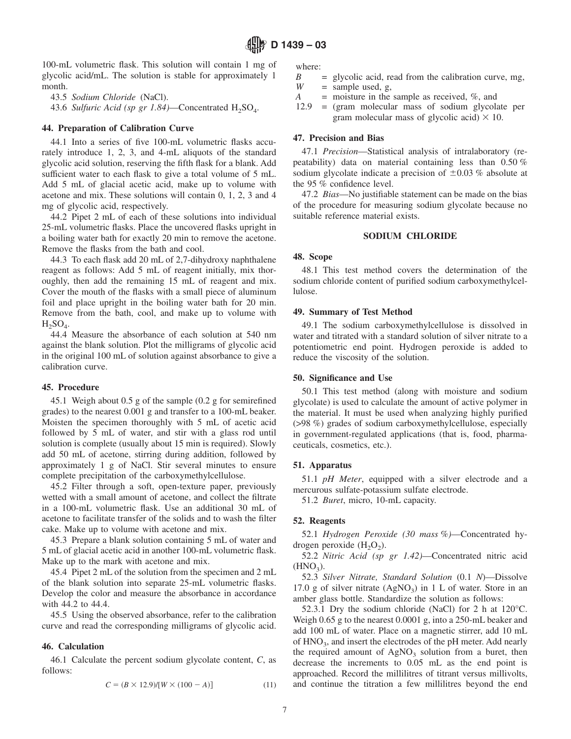100-mL volumetric flask. This solution will contain 1 mg of glycolic acid/mL. The solution is stable for approximately 1 month.

43.5 *Sodium Chloride* (NaCl).

43.6 *Sulfuric Acid (sp gr 1.84)*—Concentrated  $H_2SO_4$ .

# **44. Preparation of Calibration Curve**

44.1 Into a series of five 100-mL volumetric flasks accurately introduce 1, 2, 3, and 4-mL aliquots of the standard glycolic acid solution, reserving the fifth flask for a blank. Add sufficient water to each flask to give a total volume of 5 mL. Add 5 mL of glacial acetic acid, make up to volume with acetone and mix. These solutions will contain 0, 1, 2, 3 and 4 mg of glycolic acid, respectively.

44.2 Pipet 2 mL of each of these solutions into individual 25-mL volumetric flasks. Place the uncovered flasks upright in a boiling water bath for exactly 20 min to remove the acetone. Remove the flasks from the bath and cool.

44.3 To each flask add 20 mL of 2,7-dihydroxy naphthalene reagent as follows: Add 5 mL of reagent initially, mix thoroughly, then add the remaining 15 mL of reagent and mix. Cover the mouth of the flasks with a small piece of aluminum foil and place upright in the boiling water bath for 20 min. Remove from the bath, cool, and make up to volume with  $H_2SO_4$ .

44.4 Measure the absorbance of each solution at 540 nm against the blank solution. Plot the milligrams of glycolic acid in the original 100 mL of solution against absorbance to give a calibration curve.

### **45. Procedure**

45.1 Weigh about 0.5 g of the sample (0.2 g for semirefined grades) to the nearest 0.001 g and transfer to a 100-mL beaker. Moisten the specimen thoroughly with 5 mL of acetic acid followed by 5 mL of water, and stir with a glass rod until solution is complete (usually about 15 min is required). Slowly add 50 mL of acetone, stirring during addition, followed by approximately 1 g of NaCl. Stir several minutes to ensure complete precipitation of the carboxymethylcellulose.

45.2 Filter through a soft, open-texture paper, previously wetted with a small amount of acetone, and collect the filtrate in a 100-mL volumetric flask. Use an additional 30 mL of acetone to facilitate transfer of the solids and to wash the filter cake. Make up to volume with acetone and mix.

45.3 Prepare a blank solution containing 5 mL of water and 5 mL of glacial acetic acid in another 100-mL volumetric flask. Make up to the mark with acetone and mix.

45.4 Pipet 2 mL of the solution from the specimen and 2 mL of the blank solution into separate 25-mL volumetric flasks. Develop the color and measure the absorbance in accordance with 44.2 to 44.4.

45.5 Using the observed absorbance, refer to the calibration curve and read the corresponding milligrams of glycolic acid.

### **46. Calculation**

46.1 Calculate the percent sodium glycolate content, *C*, as follows:

$$
C = (B \times 12.9) / [W \times (100 - A)] \tag{11}
$$

where:

- $B =$  glycolic acid, read from the calibration curve, mg,  $W =$  sample used. g.  $=$  sample used, g,
- *A* = moisture in the sample as received, %, and
- 12.9 = (gram molecular mass of sodium glycolate per gram molecular mass of glycolic acid)  $\times$  10.

### **47. Precision and Bias**

47.1 *Precision*—Statistical analysis of intralaboratory (repeatability) data on material containing less than 0.50 % sodium glycolate indicate a precision of  $\pm 0.03$  % absolute at the 95 % confidence level.

47.2 *Bias*—No justifiable statement can be made on the bias of the procedure for measuring sodium glycolate because no suitable reference material exists.

### **SODIUM CHLORIDE**

### <span id="page-6-0"></span>**48. Scope**

48.1 This test method covers the determination of the sodium chloride content of purified sodium carboxymethylcellulose.

### **49. Summary of Test Method**

49.1 The sodium carboxymethylcellulose is dissolved in water and titrated with a standard solution of silver nitrate to a potentiometric end point. Hydrogen peroxide is added to reduce the viscosity of the solution.

### **50. Significance and Use**

50.1 This test method (along with moisture and sodium glycolate) is used to calculate the amount of active polymer in the material. It must be used when analyzing highly purified (>98 %) grades of sodium carboxymethylcellulose, especially in government-regulated applications (that is, food, pharmaceuticals, cosmetics, etc.).

### **51. Apparatus**

51.1 *pH Meter*, equipped with a silver electrode and a mercurous sulfate-potassium sulfate electrode.

51.2 *Buret*, micro, 10-mL capacity.

### **52. Reagents**

52.1 *Hydrogen Peroxide (30 mass %)*—Concentrated hydrogen peroxide  $(H<sub>2</sub>O<sub>2</sub>)$ .

52.2 *Nitric Acid (sp gr 1.42)*—Concentrated nitric acid  $(HNO<sub>3</sub>)$ .

52.3 *Silver Nitrate, Standard Solution* (0.1 *N*)—Dissolve 17.0 g of silver nitrate  $(AgNO<sub>3</sub>)$  in 1 L of water. Store in an amber glass bottle. Standardize the solution as follows:

52.3.1 Dry the sodium chloride (NaCl) for 2 h at 120°C. Weigh 0.65 g to the nearest 0.0001 g, into a 250-mL beaker and add 100 mL of water. Place on a magnetic stirrer, add 10 mL of HNO<sub>3</sub>, and insert the electrodes of the pH meter. Add nearly the required amount of  $AgNO<sub>3</sub>$  solution from a buret, then decrease the increments to 0.05 mL as the end point is approached. Record the millilitres of titrant versus millivolts, and continue the titration a few millilitres beyond the end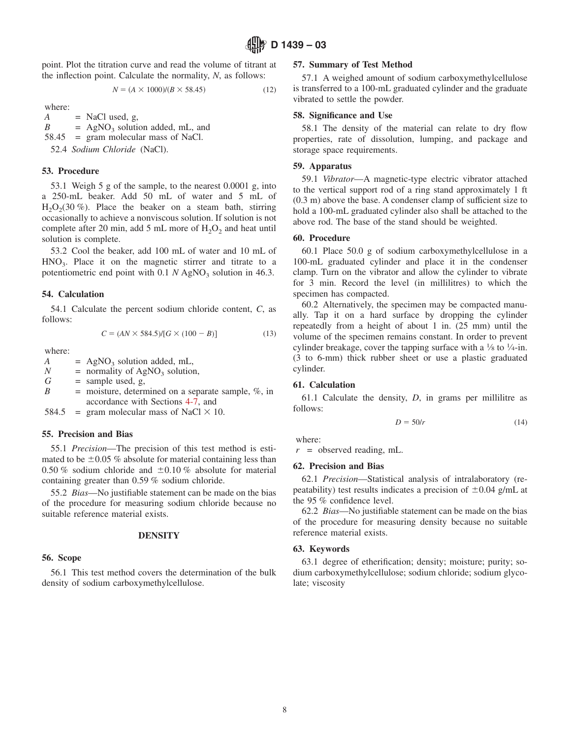point. Plot the titration curve and read the volume of titrant at the inflection point. Calculate the normality, *N*, as follows:

$$
N = (A \times 1000)/(B \times 58.45)
$$
 (12)

where:

 $A = \text{NaCl}$  used, g,  $B = AgNO<sub>3</sub>$  solution added, mL, and 58.45 = gram molecular mass of NaCl. 52.4 *Sodium Chloride* (NaCl).

### **53. Procedure**

53.1 Weigh 5 g of the sample, to the nearest 0.0001 g, into a 250-mL beaker. Add 50 mL of water and 5 mL of  $H<sub>2</sub>O<sub>2</sub>(30 %)$ . Place the beaker on a steam bath, stirring occasionally to achieve a nonviscous solution. If solution is not complete after 20 min, add 5 mL more of  $H_2O_2$  and heat until solution is complete.

53.2 Cool the beaker, add 100 mL of water and 10 mL of  $HNO<sub>3</sub>$ . Place it on the magnetic stirrer and titrate to a potentiometric end point with  $0.1 N AgNO<sub>3</sub>$  solution in 46.3.

### **54. Calculation**

54.1 Calculate the percent sodium chloride content, *C*, as follows:

$$
C = (AN \times 584.5)/[G \times (100 - B)] \tag{13}
$$

where:

*A* = AgNO<sub>3</sub> solution added, mL,<br>*N* = normality of AgNO<sub>3</sub> solution *N* = normality of AgNO<sub>3</sub> solution,<br>*G* = sample used, g,  $=$  sample used, g,  $B =$  moisture, determined on a separate sample,  $\%$ , in accordance with Sections [4-7,](#page-0-0) and

584.5 = gram molecular mass of NaCl  $\times$  10.

### **55. Precision and Bias**

55.1 *Precision*—The precision of this test method is estimated to be  $\pm 0.05$  % absolute for material containing less than 0.50 % sodium chloride and  $\pm 0.10$  % absolute for material containing greater than 0.59 % sodium chloride.

55.2 *Bias*—No justifiable statement can be made on the bias of the procedure for measuring sodium chloride because no suitable reference material exists.

### **DENSITY**

### **56. Scope**

56.1 This test method covers the determination of the bulk density of sodium carboxymethylcellulose.

### **57. Summary of Test Method**

57.1 A weighed amount of sodium carboxymethylcellulose is transferred to a 100-mL graduated cylinder and the graduate vibrated to settle the powder.

### **58. Significance and Use**

58.1 The density of the material can relate to dry flow properties, rate of dissolution, lumping, and package and storage space requirements.

### **59. Apparatus**

59.1 *Vibrator*—A magnetic-type electric vibrator attached to the vertical support rod of a ring stand approximately 1 ft (0.3 m) above the base. A condenser clamp of sufficient size to hold a 100-mL graduated cylinder also shall be attached to the above rod. The base of the stand should be weighted.

### **60. Procedure**

60.1 Place 50.0 g of sodium carboxymethylcellulose in a 100-mL graduated cylinder and place it in the condenser clamp. Turn on the vibrator and allow the cylinder to vibrate for 3 min. Record the level (in millilitres) to which the specimen has compacted.

60.2 Alternatively, the specimen may be compacted manually. Tap it on a hard surface by dropping the cylinder repeatedly from a height of about 1 in. (25 mm) until the volume of the specimen remains constant. In order to prevent cylinder breakage, cover the tapping surface with a  $\frac{1}{8}$  to  $\frac{1}{4}$ -in. (3 to 6-mm) thick rubber sheet or use a plastic graduated cylinder.

# **61. Calculation**

61.1 Calculate the density, *D*, in grams per millilitre as follows:

<span id="page-7-0"></span>
$$
D = 50/r \tag{14}
$$

where:

*r* = observed reading, mL.

### **62. Precision and Bias**

62.1 *Precision*—Statistical analysis of intralaboratory (repeatability) test results indicates a precision of  $\pm 0.04$  g/mL at the 95 % confidence level.

62.2 *Bias*—No justifiable statement can be made on the bias of the procedure for measuring density because no suitable reference material exists.

### **63. Keywords**

63.1 degree of etherification; density; moisture; purity; sodium carboxymethylcellulose; sodium chloride; sodium glycolate; viscosity